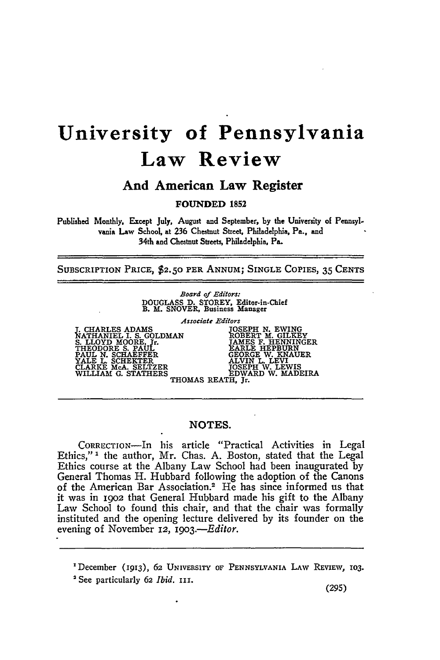# **University of Pennsylvania Law Review**

## **And** American Law Register

**FOUNDED 1852**

Published Monthly. Except July, August and September, **by** the University of Pennsylvania Law School, at **236** Chestnut Street, Philadelphia, Pa., and 34th and Chestnut Streets, Philadelphia. Pa.

SUBSCRIPTION PRICE, **\$2.50** PER ANNUM; SINGLE COPIES, **35** CENTS

| Board of Editors:<br>DOUGLASS D. STOREY, Editor-in-Chief B. M. SNOVER, Business Manager                                                                                       |                                                                                                                                                                                                   |
|-------------------------------------------------------------------------------------------------------------------------------------------------------------------------------|---------------------------------------------------------------------------------------------------------------------------------------------------------------------------------------------------|
| <b>Associate Editors</b>                                                                                                                                                      |                                                                                                                                                                                                   |
| T. CHARLES ADAMS<br>NATHANIEL I. S. GOLDMAN<br>S. LLOYD MOORE, Jr.<br>THEODORE S. PAUL<br>PAUL N. SCHAEFFER<br>YALE L. SCHEKTER<br>CLARKE McA. SELTZER<br>WILLIAM G. STATHERS | TOSEPH N. EWING<br><b>ROBERT M. GILKEY</b><br><b>TAMES F. HENNINGER</b><br>EARLE HEPBURN<br>GEORGE W. KNAUER<br>ALVIN L. LEVI<br><b>TOSEPH W. LEWIS</b><br>EDWARD W. MADEIRA<br>THOMAS REATH. Ir. |

## **NOTES.**

CORRECTION-In his article "Practical Activities in Legal Ethics,"<sup>1</sup> the author, Mr. Chas. A. Boston, stated that the Legal Ethics course at the Albany Law School had been inaugurated **by** General Thomas H. Hubbard following the adoption of the Canons of the American Bar Association.2 He has since informed us that it was in 19o2 that General Hubbard made his gift to the Albany Law School to found this chair, and that the chair was formally instituted and the opening lecture delivered **by** its founder on the evening of November *12, I903.-Editor.*

'December **(1913), 62 UNIVERSITY** OF PENNSYLVANIA LAw REVIEW, io3. 'See particularly **62** *Ibid. III.*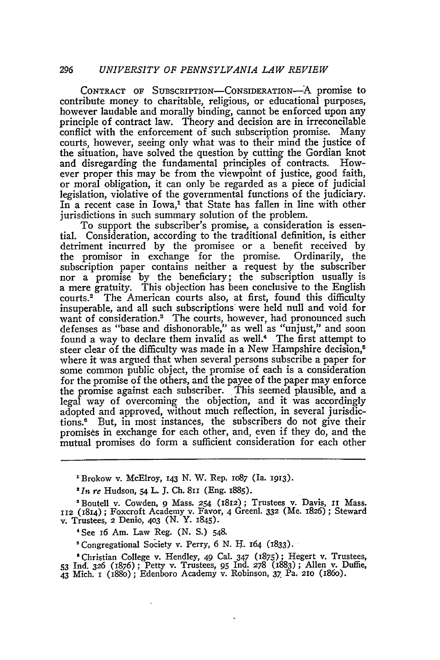CONTRACT **OF** SUBSCRIPTION-CoNSIDERATION---A promise to contribute money to charitable, religious, or educational purposes, however laudable and morally binding, cannot be enforced upon any principle of contract law. Theory and decision are in irreconcilable conflict with the enforcement of such subscription promise. Many courts, however, seeing only what was to their mind the justice of the situation, have solved the question by cutting the Gordian knot and disregarding the fundamental principles of contracts. However proper this may be from the viewpoint of justice, good faith, or moral obligation, it can only be regarded as a piece of judicial legislation, violative of the governmental functions of the judiciary. In a recent case in Iowa,<sup>1</sup> that State has fallen in line with other jurisdictions in such summary solution of the problem.

To support the subscriber's promise, a consideration is essential. Consideration, according to the traditional definition, is either detriment incurred by the promisee or a benefit received by the promisor in exchange for the promise. Ordinarily, the subscription paper contains neither a request by the subscriber nor a promise by the beneficiary; the subscription usually is a mere gratuity. This objection has been conclusive to the English courts.2 The American courts also, at first, found this difficulty insuperable, and all such subscriptions were held null and void for want of consideration.<sup>3</sup> The courts, however, had pronounced such defenses as "base and dishonorable," as well as "unjust," and soon found a way to declare them invalid as well.<sup>4</sup> The first attempt to steer clear of the difficulty was made in a New Hampshire decision,<sup>5</sup> where it was argued that when several persons subscribe a paper for some common public object, the promise of each is a consideration for the promise of the others, and the payee of the paper may enforce the promise against each subscriber. This seemed plausible, and a legal way of overcoming the objection, and it was accordingly adopted and approved, without much reflection, in several jurisdictions." But, in most instances, the subscribers do not give their promises in exchange for each other, and, even if they do, and the mutual promises do form a sufficient consideration for each other

<sup>1</sup> Brokow v. McElroy, 143 **N.** W. Rep. **1087** (Ia. **1913).**

*<sup>2</sup>In* re Hudson, 54 L. **J. Ch.** 811 (Eng. 1885).

<sup>&#</sup>x27;Boutell v. Cowden, 9 Mass. **254** (1812); Trustees v. Davis, **iI** Mass. 112 **(1814) ;** Foxcroft Academy v. Favor, 4 Greenl. **332** (Me. 1826) **;** Steward **v.** Trustees, 2 Denio, **4o3 (N.** Y. 1845).

<sup>&</sup>quot;See 16 Am. Law Reg. **(N. S.)** 548.

<sup>&#</sup>x27;Congregational Society v. Perry, 6 **N. H.** 164 (1833).

**<sup>&#</sup>x27;** Christian College v. Hendley, 49 Cal. 347 (1875); Hegert v. Trustees, 53 Ind. 326 (1876) ; Petty v. Trustees, **95** Ind. **278** (1883) ; Allen v. Duffle, **43** Mich. i (i88o); Edenboro Academy v. Robinson, **37** Pa. **210** (i86o).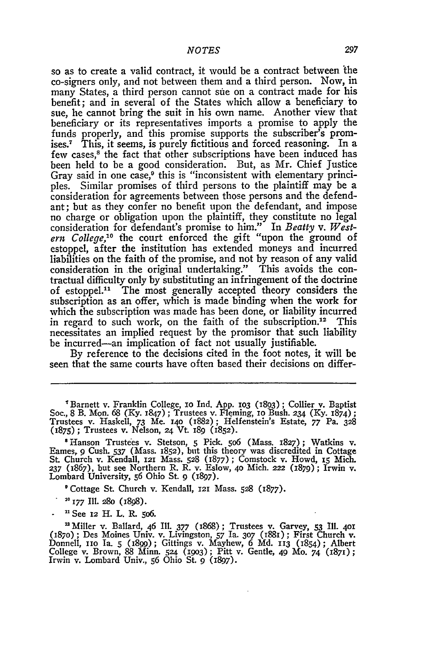so as to create a valid contract, it would be a contract between the co-signers only, and not between them and a third person. Now, in many States, a third person cannot sue on a contract made for his benefit; and in several of the States which allow a beneficiary **to** sue, he cannot bring the suit in his own name. Another view that beneficiary or its representatives imports a promise to apply the funds properly, and this promise supports the subscriber's promises.<sup>7</sup> This, it seems, is purely fictitious and forced reasoning. In a few cases,<sup>8</sup> the fact that other subscriptions have been induced has been held to be a good consideration. But, as Mr. Chief Justice Gray said in one case,<sup>9</sup> this is "inconsistent with elementary principles. Similar promises of third persons to the plaintiff may be a consideration for agreements between those persons and the defendant; but as they confer no benefit upon the defendant, and impose no charge or obligation upon the plaintiff, they constitute no legal consideration for defendant's promise to him." In *Beatty v.* Western *College,'0* **the** court enforced the gift "upon the ground of estoppel, after the institution has extended moneys and incurred liabilities on the faith of the promise, and not **by** reason of any valid consideration in the original undertaking." This avoids the contractual difficulty only **by** substituting an infringement of the doctrine of estoppel."' The most generally accepted theory considers the subscription as an offer, which is made binding when the work for which the subscription was made has been done, or liability incurred in regard to such work, on the faith of the subscription.12 This necessitates an implied request **by** the promisor that such liability be incurred-an implication of fact not usually justifiable.

**By** reference to the decisions cited in the foot notes, it will be seen that the same courts have often based their decisions on differ-

**'** Cottage St. Church v. Kendall, **121** Mass. 528 (1877).

<sup>10</sup> 177 Ill. 280 (1898).

**"** See **12** H. L. R. 5o6.

<sup>12</sup> Miller v. Ballard, 46 Ill. 377 (1868); Trustees v. Garvey, 53 Ill. 401<br>(1870); Des Moines Univ. v. Livingston, 57 Ia. 307 (1881); First Church v.<br>Donnell, 110 Ia. 5 (1899); Gittings v. Mayhew, 6 Md. 113 (1854); Albert College v. Brown, 88 Minn. *524* **(1903);** Pitt v. Gentle, 49 Mo. 74 **(1871);** Irwin v. Lombard Univ., **56** Ohio St. **9** (1897).

<sup>&#</sup>x27;Barnett v. Franklin College, io Ind. App. **103** (1893) ; Collier v. Baptist Soc., 8 B. Mon. **68 (Ky.** 1847) ; Trustees v. Fleming, io Bush. 234 **(Ky.** 1874); Trustees v. Haskell, 73 Me. **14o** (1882) ; Helfenstein's Estate, **77** Pa. **328** (1875) ; Trustees v. Nelson, *24* Vt. 189 (1852).

<sup>&#</sup>x27;Hanson Trustees v. Stetson, 5 Pick. 5o6 (Mass. 1827); Watkins v. Eames, **9** Cush. **537** (Mass. 2852), but this theory was discredited in Cottage St. Church v. Kendall, *12* Mass. **528** (1877); Comstock v. Howd, **is** Mich. **<sup>237</sup>**(i867), but see Northern R. R. v. Eslow, 40 Mich. **222 (1879);** Irwin v. Lombard University, **56** Ohio St. **9** (1897).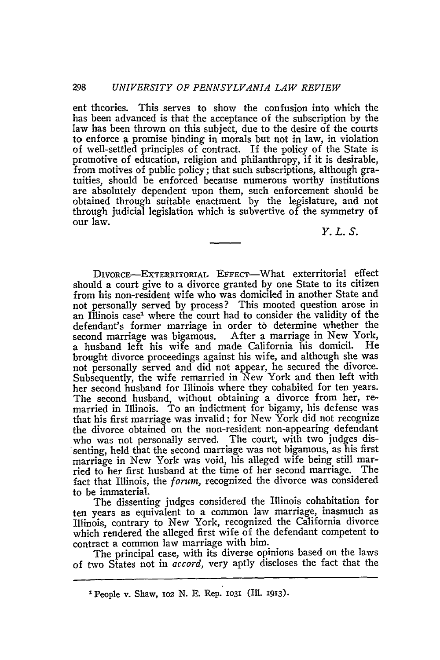ent theories. This serves to show the confusion into which the has been advanced is that the acceptance of the subscription by the law has been thrown on this subject, due to the desire of the courts to enforce a promise binding in morals but not in law, in violation of well-settled principles of contract. If the policy of the State is promotive of education, religion and philanthropy, if it is desirable, from motives of public policy; that such subscriptions, although gratuities, should be enforced because numerous worthy institutions are absolutely dependent upon them, such enforcement should be obtained through suitable enactment by the legislature, and not through judicial legislation which is subvertive of the symmetry of our law.

*Y.L.S.*

DIVORCE-EXTERRITORIAL EFFEcT-What exterritorial effect should a court give to a divorce granted by one State to its citizen from his non-resident wife who was domiciled in another State and not personally served by process? This mooted question arose in an Illinois case' where the court had to consider the validity of the defendant's former marriage in order to determine whether the second marriage was bigamous. After a marriage in New York, a husband left his wife and made California his domicil. brought divorce proceedings against his wife, and although she was not personally served and did not appear, he secured the divorce. Subsequently, the wife remarried in New York and then left with her second husband for Illinois where they cohabited for ten years. The second husband, without obtaining a divorce from her, remarried in Illinois. To an indictment for bigamy, his defense was that his first marriage was invalid; for New York did not recognize the divorce obtained on the non-resident non-appearing defendant who was not personally served. The court, with two judges dissenting, held that the second marriage was not bigamous, as his first marriage in New York was void, his alleged wife being still married to her first husband at the time of her second marriage. The fact that Illinois, the *forum,* recognized the divorce was considered to be immaterial.

The dissenting judges considered the Illinois cohabitation for ten years as equivalent to a common law marriage, inasmuch as Illinois, contrary to New York, recognized the California divorce which rendered the alleged first wife of the defendant competent to contract a common law marriage with him.

The principal case, with its diverse opinions based on the laws of two States not in *accord,* very aptly discloses the fact that the

People v. Shaw, io2 **N. E.** Rep. **103i** (Ill. **I913).**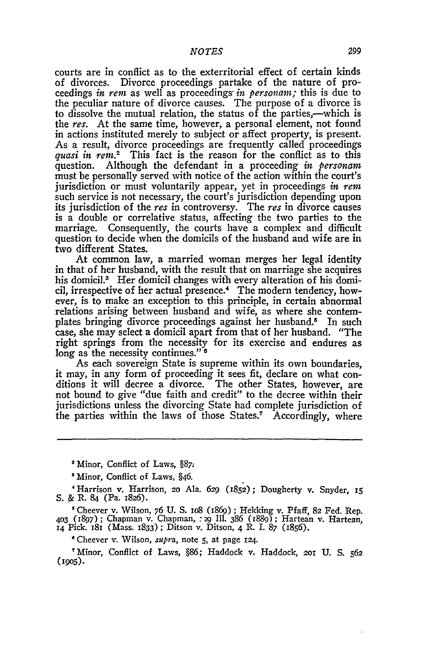courts are in conflict as to the exterritorial effect of certain kinds of divorces. Divorce proceedings partake of the nature of proceedings *in rem* as well as proceedings *in personarn;* this is due to the peculiar nature of divorce causes. The purpose of a divorce is to dissolve the mutual relation, the status of the parties,—which is the *res.* At the same time, however, a personal element, not found in actions instituted merely to subject or affect property, is present. As a result, divorce proceedings are frequently called proceedings *quasi in rem.2* This fact is the reason for the conflict as to this question. Although the defendant in a proceeding *in personam* must be personally served with notice of the action within the court's jurisdiction or must voluntarily appear, yet in proceedings *in ren* such service is not necessary, the court's jurisdiction depending upon its jurisdiction of the *res* in controversy. The *res* in divorce causes is a double or correlative status, affecting the two parties to the marriage. Consequently, the courts have a complex and difficult question to decide when the domicils of the husband and wife are in two different States.

At common law, a married woman merges her legal identity in that of her husband, with the result that on marriage she acquires his domicil.<sup>3</sup> Her domicil changes with every alteration of his domicil, irrespective of her actual presence.<sup>4</sup> The modern tendency, however, is to make an exception to this principle, in certain abnormal relations arising between husband and wife, as where she contemplates bringing divorce proceedings against her husband.<sup>5</sup> In such case, she may select a domicil apart from that of her husband. "The right springs from the necessity for its exercise and endures as long as the necessity continues." **6**

As each sovereign State is supreme within its own boundaries, it may, in any form of proceeding it sees fit, declare on what conditions it will decree a divorce. The other States, however, are not bound to give "due faith and credit" to the decree within their jurisdictions unless the divorcing State had complete jurisdiction of the parties within the laws of those States.<sup>7</sup> Accordingly, where

"Minor, Conflict of Laws, **§87:**

'Minor, Conflict of Laws, §46.

'Harrison v. Harrison, **2o** Ala. *629* **(1852);** Dougherty v. Snyder, **i5 S. &** R. 84 (Pa. 1826).

**'** Cheever v. Wilson, 76 **U. S.** io8 (i869) **;** Hekking v. Pfaff, 82 Fed. Rep. **403 (1897) ;** Chapman v. Chapman, **:29** *I1.* 386 **(1889) ;** Hartean v. Hartean, 14 Pick. **i81** (Mass. 1833); Ditson v. Ditson, **4** R. I. **87** (1856).

'Cheever v. Wilson, *supra,* note **5,** at page **124.**

' Minor, Conflict of Laws, **§86;** Haddock v. Haddock, **201** U. **S.** *562* **(19o5).**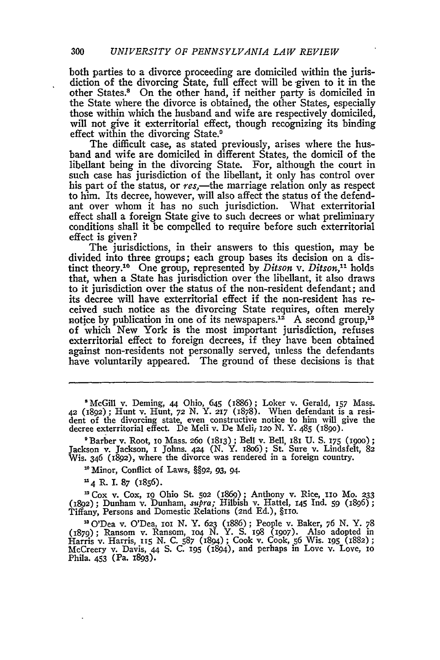both parties to a divorce proceeding are domiciled within the jurisdiction of the divorcing State, full effect will be given to it in the other States.' On the other hand, if neither party is domiciled in the State where the divorce is obtained, the other States, especially those within which the husband and wife are respectively domiciled, will not give it exterritorial effect, though recognizing its binding effect within the divorcing State.<sup>9</sup>

The difficult case, as stated previously, arises where the husband and wife are domiciled in different States, the domicil of the libellant being in the divorcing State. For, although the court in such case has jurisdiction of the libellant, it only has control over his part of the status, or *res*,—the marriage relation only as respect to him. Its decree, however, will also affect the status of the defendant over whom it has no such jurisdiction. What exterritorial effect shall a foreign State give to such decrees or what preliminary conditions shall it be compelled to require before such exterritorial effect is given?

The jurisdictions, in their answers to this question, may be divided into three groups; each group bases its decision on a distinct theory.10 One group, represented by *Ditson v. Ditson,"I* holds that, when a State has jurisdiction over the libellant, it also draws to it jurisdiction over the status of the non-resident defendant; and its decree will have exterritorial effect if the non-resident has received such notice as the divorcing State requires, often merely notice by publication in one of its newspapers.<sup>12</sup> A second group,<sup>13</sup> of which New York is the most important jurisdiction, refuses exterritorial effect to foreign decrees, if they have been obtained against non-residents not personally served, unless the defendants have voluntarily appeared. The ground of these decisions is that

IMcGill v. Deming, 44 Ohio, 645 (1886); Loker v. Gerald, **i57** Mass. 42 (1892); Hunt v. Hunt, **72** N. Y. **217** (1878). When defendant is a resident of the divorcing state, even constructive notice to him will give the decree exterritorial effect. De Meli v. De Meli; *12o* **N.** Y. 485 (i89o).

'Barber v. Root, io Mass. **260** (1813); Bell v. Bell, 181 U. S. **i75** (19oo); Jackson v. Jackson, I Johns. **424** (N. Y. i8o6); St. Sure v. Lindsfelt, **82** Wis. 346 (1892), where the divorce was rendered in a foreign country.

"'Minor, Conflict of Laws, **§§92, 93,** 94.

'4 R. **1.** 87 **(1856).**

<sup>12</sup> Cox v. Cox, 19 Ohio St. 502 (1869); Anthony v. Rice, 110 Mo. 233 (1892); Dunham v. Dunham, *supra;* Hilbish v. Hattel, **145** Ind. **59** (I896); Tiffany, Persons and Domestic Relations (2nd Ed.), §iio.

"O'Dea v. O'Dea, ioi N. Y. **623** (1886); People v. Baker, 76 N. Y. 78 (1879); Ransom v. Ransom, **io4** N. Y. S. 198 **(907).** Also adopted in Harris v. Harris, **115** N. C. **587** (1894); Cook v. Cook, **56** Wis. I95 (1882); McCreery v. Davis, 44 **S.** C. r95 (1894), and perhaps in Love v. Love, IO Phila. 453 (Pa. **i893).**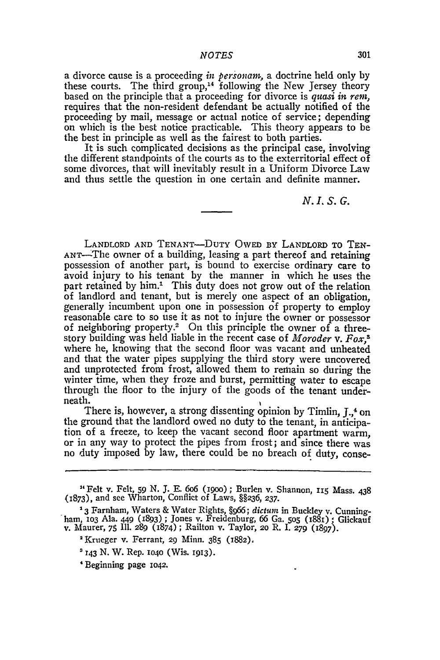a divorce cause is a proceeding *in personam,* a doctrine held only **by** these courts. The third group,<sup>14</sup> following the New Jersey theory based on the principle that a proceeding for divorce is *quasi in* ren, requires that the non-resident defendant be actually notified of the proceeding by mail, message or actual notice of service; depending on which is the best notice practicable. This theory appears to be the best in principle as well as the fairest to both parties.

It is such complicated decisions as the principal case, involving the different standpoints of the courts as to the exterritorial effect of some divorces, that will inevitably result in a Uniform Divorce Law and thus settle the question in one certain and definite manner.

*N. 1. S. G.*

LANDLORD AND TENANT--DUTY OWED BY LANDLORD TO TEN-ANT--IThe owner of a building, leasing a part thereof and retaining possession of another part, is bound to exercise ordinary care to avoid injury to his tenant by the manner in which he uses the part retained by him.' This duty does not grow out of the relation of landlord and tenant, but is merely one aspect of an obligation, generally incumbent upon one in possession of property to employ reasonable care to so use it as not to injure the owner or possessor of neighboring property.<sup>2</sup> On this principle the owner of a threestory building was held liable in the recent case of *Moroder v. Fox,3* where he, knowing that the second floor was vacant and unheated and that the water pipes supplying the third story were uncovered and unprotected from frost, allowed them to remain so during the winter time, when they froze and burst, permitting water to escape through the floor to the injury of the goods of the tenant underneath.

There is, however, a strong dissenting opinion by Timlin, J.,<sup>4</sup> on the ground that the landlord owed no duty to the tenant, in anticipation of a freeze, to keep the vacant second floor apartment warm, or in any way to protect the pipes from frost; and since there was no duty imposed by law, there could be no breach of duty, conse-

Felt v. Felt, **59** N. **J.** E. 6o6 (igoo) ; Burlen v. Shannon, **115** Mass. <sup>438</sup> (1873), and see Wharton, Conflict of Laws, §§236, **237.**

**13** Farnham, Waters & Water Rights, §966; *dictum* in Buckley v. Cunningham, **103** Ala. 449 **(1893)** ; Jones v. Freidenburg, **66** Ga. **5o5** (1881), Glickauf v. Maurer, **75 11.** 289 (1874) ; Railton v. Taylor, **2o** R. **I. 279** (1897).

**<sup>2</sup>**Krueger v. Ferrant, 29 Minn. **385 (1882).**

**'143 N.** W. Rep. **lO4O** (Wis. **1913).**

'Beginning page **io42.**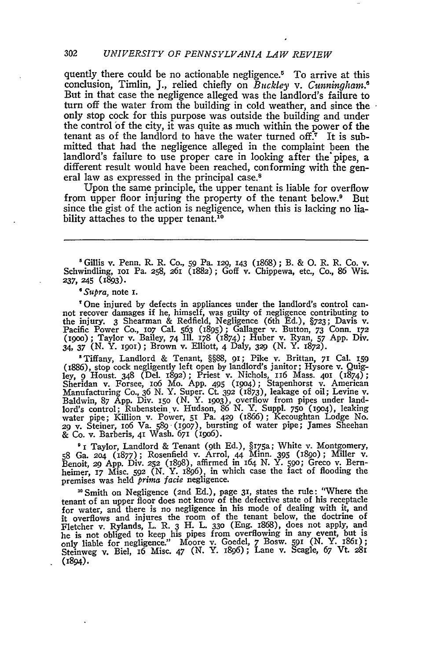quently there could be no actionable negligence.<sup>5</sup> To arrive at this conclusion, Timlin, J., relied chiefly on *Buckley v. Cunningham.'* But in that case the negligence alleged was the landlord's failure to turn off the water from the building in cold weather, and since the only stop cock for this purpose was outside the building and under the control 'of the city, it was quite as much within the power of the tenant as of the landlord to have the water turned off. $\tau$  It is submitted that had the negligence alleged in the complaint been the landlord's failure to use proper care in looking after the'pipes, a different result would have been reached, conforming with the general law as expressed in the principal case.<sup>8</sup>

Upon the same principle, the upper tenant is liable for overflow from upper floor injuring the property of the tenant below.9 But since the gist of the action is negligence, when this is lacking no liability attaches to the upper tenant.<sup>10</sup>

'Gillis v. Penn. R. R. Co., **59** Pa. *i29,* 143 (I868); B. & **0.** R. R. Co. v. Schwindling, 101 Pa. 258, 261 (1882); Goff v. Chippewa, etc., Co., 86 Wis. **237,** 245 **(1893).**

*" Supra,* note **i.**

'One injured by defects in appliances under the landlord's control cannot recover damages if he, himself, was guilty of negligence contributing to the injury. **3** Shearman & Redfield, Negligence (6th Ed.), **§723;** Davis v. Pacific Power Co., io7 Cal. 563 (1895); Gallager v. Button, **73** Conn. *172* (I9Oo); Taylor v. Bailey, 74 Ill. 178 (1874); Huber v. Ryan, 57 App. Div. 34, **37** (N. Y. igoi) ; Brown v. Elliott, 4 Daly, **329** (N. Y. 1872).

'Tiffany, Landlord & Tenant, §§88, 9i; Pike v. Brittan, **71** Cal. **i59** (1886), stop cock negligently left open by landlord's janitor; Hysore v. Quig-ley, **9** Houst. 348 (Del. 1892); Priest v. Nichols, ii6 Mass. **401** (1874); Sheridan v. Forsee, 106 Mo. App. 495 (1904); Stapenhorst v. American<br>Manufacturing Co., 36 N. Y. Super. Ct. 392 (1873), leakage of oil; Levine v.<br>Baldwin, 87 App. Div. 150 (N. Y. 1903), overflow from pipes under landlord's control; Rubenstein v. Hudson, 86 N. Y. Suppl. 750 (1904), leaking<br>water pipe; Killion v. Power, 51 Pa. 429 (1866); Kecoughtan Lodge No.<br>29 v. Steiner, 106 Va. 589 (1907), bursting of water pipe; James Sheehan & Co. v. Barberis, **41** Wash. 671 (i9o6).

**9i** Taylor, Landlord & Tenant (9th Ed.), §r75a; White v. Montgomery, 58 Ga. **204** (1877); Rosenfield v. Arrol, 44 Minn. **395** (i89o); Miller v. Benoit, 29 App. Div. 252 (1898), affirmed in 164 N. Y. 590; Greco v. Bernheimer, 17 Misc. 592 (N. Y. 1896), in which case the fact of flooding the premises was held *prima facie* negligence.

**<sup>0</sup>**Smith on Negligence (2nd Ed.), page **31,** states the rule: "Where the tenant of an upper floor does not know of the defective state of his receptacle for water, and there is no negligence in his mode of dealing with it, and it overflows and injures the room of the tenant below, the doctrine of Fletcher v. Rylands, L. R. 3 H. L. **330** (Eng. 1868), does not apply, and rections in the island obliged to keep his pipes from overflowing in any event, but is<br>only liable for negligence." Moore v. Goedel, 7 Bosw. 501 (N. Y. 1861);<br>Steinweg v. Biel, 16 Misc. 47 (N. Y. 1896); Lane v. Scagle, 67  $(1894).$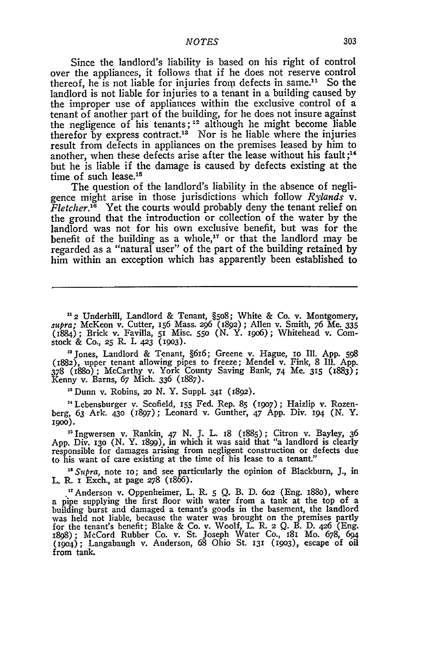Since the landlord's liability is based on his right of control over the appliances, it follows that if he does not reserve control thereof, he is not liable for injuries from defects in same.<sup>11</sup> So the landlord is not liable for injuries to a tenant in a building caused by the improper use of appliances within the exclusive control of a tenant of another part of the building, for he does not insure against the negligence of his tenants; 12 although he might become liable therefor by express contract.<sup>13</sup> Nor is he liable where the injuries result from defects in appliances on the premises leased by him to another, when these defects arise after the lease without his fault **;14** but he is liable if the damage is caused by defects existing at the time of such lease.<sup>15</sup>

The question of the landlord's liability in the absence of negligence might arise in those jurisdictions which follow *Rylands v. Fletcher.*<sup>16</sup> Yet the courts would probably deny the tenant relief on the ground that the introduction or collection of the water by the landlord was not for his own exclusive benefit, but was for the benefit of the building as a whole,<sup>17</sup> or that the landlord may be regarded as a "natural user" of the part of the building retained by him within an exception which has apparently been established to

*<sup>112</sup>*Underhill, Landlord & Tenant, **§508;** White & Co. v. Montgomery, *supra;* McKeon v. Cutter, 156 Mass. 296 (1892) ; Allen v. Smith, **76** Me. **335** (1884); Brick v. Favilla, 51 Misc. **55o** (N. Y. i9o6); Whitehead v. Cornstock & Co., **25** R. I. **423** (19o3).

"Jones, Landlord & Tenant, §616; Greene v. Hague, io Ill. App. **<sup>598</sup>** (1882), upper tenant allowing pipes to freeze; Mendel v. Fink, 8 Ill. App. **378** (i88o); McCarthy v. York County Saving Bank, 74 Me. 315 (883); Kenny v. Barns, 67 Mich. 336 (1887).

"Dunn v. Robins, 2o N. Y. Suppl. **341** (1892).

"Lebensburger v. Scofield, I55 Fed. Rep. **85** (19o7); Haizlip v. Rozenberg, 63 Ark. **430** ('897); Leonard v. Gunther, 47 App. Div. **194** (N. Y. i9oo).

"Ingwersen v. Rankin, 47 N. **J.** L. 18 (1885); Citron v. Bayley, 36 App. Div. **13o** (N. Y. 1899), in which it was said that "a landlord is clearly responsible for damages arising from negligent construction or defects due to his want of care existing at the time of his lease to a tenant."

*"Supra,* note io; and see particularly the opinion of Blackburn, **J.,** in L. R. i Exch., at page **278** (1866).

.7Anderson v. Oppenheimer, L. R. 5 Q. B. D. **602** (Eng. 188o), where a pipe supplying the first floor with water from a tank at the top of a building burst and damaged a tenant's goods in the basement, the landlord was held not liable, because the water was brought on the premises partly for the tenant's benefit; Blake & Co. v. Woolf, L. R. **2 Q.** B. D. 426 (Eng. 1898); McCord Rubber Co. v. St. Joseph Water Co., i8I Mo. 678, 694 (i9o4); Langabaugh v. Anderson, 68 Ohio St. **131** (1903), escape of oil from tank.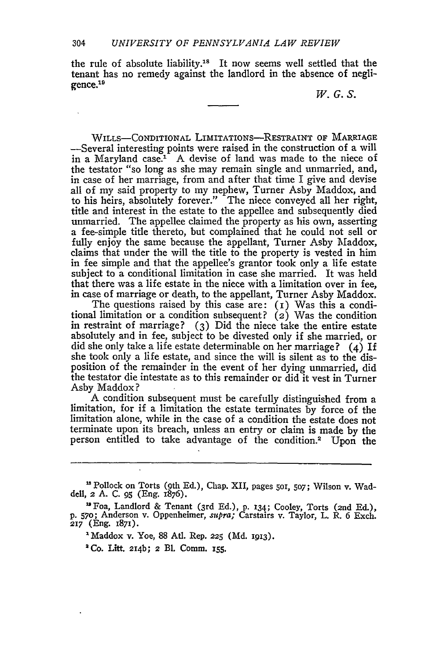the rule of absolute liability.<sup>18</sup> It now seems well settled that the tenant has no remedy against the landlord in the absence of negligence.<sup>19</sup>

*W. G. S.*

WILLS-CONDITIONAL LIMITATIONS-RESTRAINT OF MARRIAGE -Several interesting points were raised in the construction of a will in a Maryland case.<sup>1</sup> A devise of land was made to the niece of the testator "so long as she may remain single and unmarried, and, in case of her marriage, from and after that time I give and devise all of my said property to my nephew, Turner Ashy Maddox, and to his heirs, absolutely forever." The niece conveyed all her right, title and interest in the estate to the appellee and subsequently died unmarried. The appellee claimed the property as his own, asserting a fee-simple title thereto, but complained that he could not sell or fully enjoy the same because the appellant, Turner Asby Maddox, claims that under the will the title to the property is vested in him in fee simple and that the appellee's grantor took only a life estate subject to a conditional limitation in case she married. It was held that there was a life estate in the niece with a limitation over in fee, in case of marriage or death, to the appellant, Turner Asby Maddox.

The questions raised by this case are:  $(1)$  Was this a conditional limitation or a condition subsequent? (2) Was the condition in restraint of marriage? **(3)** Did the niece take the entire estate absolutely and in fee, subject to be divested only if she married, or did she only take a life estate determinable on her marriage? (4) If she took only a life estate, and since the will is silent as to the disposition of the remainder in the event of her dying unmarried, did the testator die intestate as to this remainder or did it vest in Turner Asby Maddox?

A condition subsequent must be carefully distinguished from a limitation, for if a limitation the estate terminates by force of the limitation alone, while in the case of a condition the estate does not terminate upon its breach, unless an entry or claim is made by the person entitled to take advantage of the condition.2 Upon the

Pollock on Torts (9th **Ed.),** Chap. XII, pages 5oi, **507;** Wilson v. Wad**dell, 2** A. C. **95** (Eng. 1876).

 $^{19}$  Foa, Landlord & Tenant (2rd Ed.), p. 134; Cooley, Torts (and Ed.) P. **570;** Anderson v. Oppenheimer, *supra;* Carstairs v. Taylor, L. R. 6 Exch. **217** (Eng. 1871).

<sup>1</sup> Maddox v. Yoe, 88 Atl. Rep. 225 (Md. 1913).

ICo. Litt. 214b; **2** B1. Comm. 155.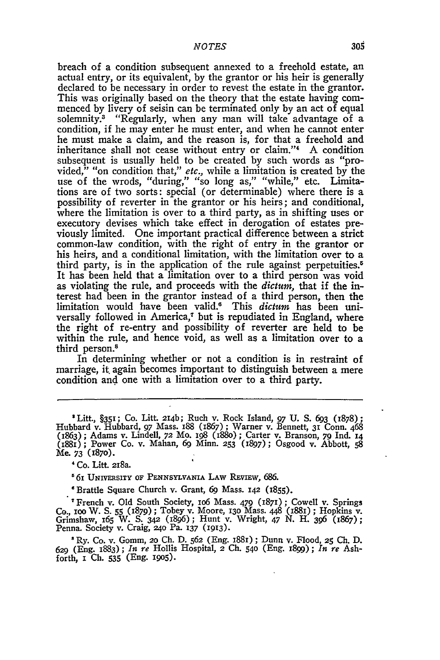breach of a condition subsequent annexed to a freehold estate, an actual entry, or its equivalent, by the grantor or his heir is generally declared to be necessary in order to revest the estate in the grantor. This was originally based on the theory that the estate having commenced by livery of seisin can be terminated only by an act of equal solemnity.<sup>3</sup> "Regularly, when any man will take advantage of a condition, if he may enter he must enter, and when he cannot enter he must make a claim, and the reason is, for that a freehold and inheritance shall not cease without entry or claim."<sup>4</sup> A condition subsequent is usually held to be created by such words as "provided," "on condition that," etc., while a limitation is created by the use of the wrods, "during," "so long as," "while," etc. Limitations are of two sorts: special (or determinable) where there is a possibility of reverter in the grantor or his heirs; and conditional, where the limitation is over to a third party, as in shifting uses or executory devises which take effect in derogation of estates previously limited. One important practical difference between a strict common-law condition, with the right of entry in the grantor or his heirs, and a conditional limitation, with the limitation over to a third party, is in the application of the rule against perpetuities.<sup>5</sup> It has been held that a limitation over to a third person was void as violating the rule, and proceeds with the *dictum,* that if the interest had been in the grantor instead of a third person, then the limitation would have been valid.6 This *dictum* has been universally followed in America,7 but is repudiated in England, where the right of re-entry and possibility of reverter are held to be within the rule, and hence void, as well as a limitation over to a third person.<sup>8</sup>

In determining whether or not a condition is in restraint of marriage, it again becomes important to distinguish between a mere condition and one with a limitation over to a third party.

\$Litt., **§351;** Co. Litt. 214b; Ruch v. Rock Island, **97 U. S.** *693* (1878); Hubbard v. Hubbard, **97** Mass. 188 (1867); Warner v. Bennett, **31** Conn. 468 (1863); Adams v. Lindell, **72** Mo. 198 (i8o); Carter v. Branson, **<sup>79</sup>**Ind. **<sup>14</sup>** (1881); Power Co. v. Mahan, **69** Minn. **253** (897); Osgood v. Abbott, **58** Me. **73** (1870).

**'** Co. Litt. 2i8a.

<sup>5</sup> 61 UNIVERSITY OF PENNSYLVANIA LAW REVIEW, 686.

**'** Brattle Square Church v. Grant, **6q** Mass. **142** (1855).

'French v. **Old** South Society, io6 Mass. 479 (1871) ; Cowell v. Springs Co., IOO W. **S. 55** *(879)* ; Tobey v. Moore, **130** Mass. 448 (1881) ; Hopkins v. Grimshaw, 165 W. **S. 342** (1896); Hunt v. Wright, 47 **N.** H. 396 (3867); Penna. Society v. Craig, **24o** Pa. 137 **(1913).**

'Ry. Co. v. Gomm, 20 **Ch. D. 562** (Eng. 188r); Dunn v. Flood, **25 Ch. D.** 629 (Eng. 1883); *In* re Hollis Hospital, 2 **Ch. 54o** (Eng. 189); *In* re Ashforth, I **Ch.** 535 (Eng. **3905).**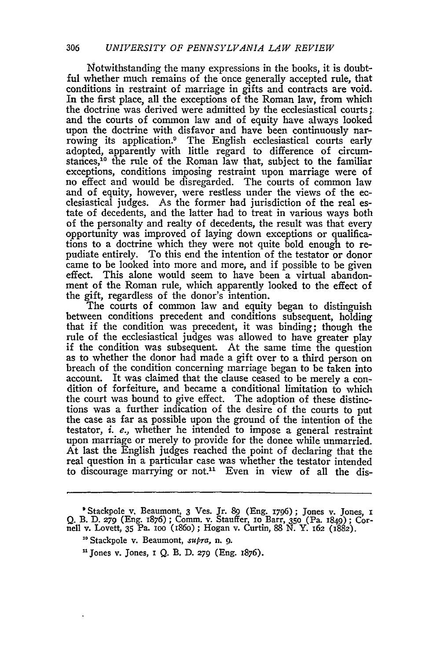Notwithstanding the many expressions in the books, it is doubtful whether much remains of the once generally accepted rule, that conditions in restraint of marriage in gifts and contracts are void. In the first place, all the exceptions of the Roman law, from which the doctrine was derived were admitted by the ecclesiastical courts; and the courts of common law and of equity have always looked upon the doctrine with disfavor and have been continuously narrowing its application.<sup>9</sup> The English ecclesiastical courts early adopted, apparently with little regard to difference of circumstances,<sup>10</sup> the rule of the Roman law that, subject to the familiar exceptions, conditions imposing restraint upon marriage were of no effect and would be disregarded. The courts of common law and of equity, however, were restless under the views of the ecclesiastical judges. As the former had jurisdiction of the real estate of decedents, and the latter had to treat in various ways both of the personalty and realty of decedents, the result was that every opportunity was improved of laying down exceptions or qualifications to a doctrine which they were not quite bold enough to repudiate entirely. To this end the intention of the testator or donor came to be looked into more and more, and if possible to be given effect. This alone would seem to have been a virtual abandonment of the Roman rule, which apparently looked to the effect of the gift, regardless of the donor's intention.

The courts of common law and equity began to distinguish between conditions precedent and conditions subsequent, holding that if the condition was precedent, it was binding; though the rule of the ecclesiastical judges was allowed to have greater play if the condition was subsequent. At the same time the question as to whether the donor had made a gift over to a third person on breach of the condition concerning marriage began to be taken into account. It was claimed that the clause ceased to be merely a condition of forfeiture, and became a conditional limitation to which the court was bound to give effect. The adoption of these distinctions was a further indication of the desire of the courts to put the case as far as possible upon the ground of the intention of the testator, *i.* e., whether he intended to impose a general restraint upon marriage or merely to provide for the donee while unmarried. At last the English judges reached the point of declaring that the real question in a particular case was whether the testator intended to discourage marrying or not.<sup>11</sup> Even in view of all the dis-

<sup>&</sup>lt;sup>8</sup> Stackpole v. Beaumont, 3 Ves. Jr. 89 (Eng. 1796); Jones v. Jones, 1 Q. B. D. 279 (Eng. 1876); Comm. v. Stauffer, 10 Barr, 350 (Pa. 1849); Cornell v. Lovett, 35 Pa. 100 (1860); Hogan v. Curtin, 88 N. Y. 162 (1882).

**<sup>&</sup>quot;** Stackpole v. Beaumont, *supra, n.* 9.

<sup>&#</sup>x27;Jones v. Jones, I Q. B. D. **279** (Eng. 1876).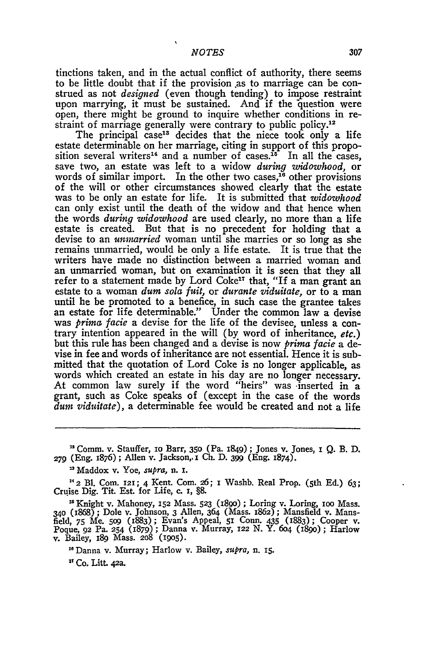tinctions taken, and in the actual conflict of authority, there seems to be little doubt that if the provision as to marriage can be construed as not *designed* (even though tending) to impose restraint upon marrying, it must be sustained. And if the question were open, there might be ground to inquire whether conditions in restraint of marriage generally were contrary to public policy.<sup>12</sup>

The principal case<sup>13</sup> decides that the niece took only a life estate determinable on her marriage, citing in support of this proposition several writers<sup>14</sup> and a number of cases.<sup>15</sup> In all the cases, save two, an estate was left to a widow *during widowhood,* or words of similar import. In the other two cases,<sup>16</sup> other provisions of the will or other circumstances showed clearly that the estate was to be only an estate for life. It is submitted that *widowhood* can only exist until the death of the widow and that hence when the words *during widowhood* are used clearly, no more than a life estate is created. But that is no precedent for holding that a devise to an *unmarried* woman until she marries or so long as she remains unmarried, would be only a life estate. It is true that the writers have made no distinction between a married woman and an unmarried woman, but on examination it is seen that they all refer to a statement made by Lord Coke<sup>17</sup> that, "If a man grant an estate to a woman *dum* sola *fuit,* or *durante viduitate,* or to a man until he be promoted to a benefice, in such case the grantee takes an estate for life determinable." Under the common law a devise was *prima facie* a devise for the life of the devisee, unless a contrary intention appeared in the will (by word of inheritance, *etc.)* but this rule has been changed and a devise is now *prima facie* a devise in fee and words of inheritance are not essential. Hence it is submitted that the quotation of Lord Coke is no longer applicable, as words which created an estate in his day are no longer necessary. At common law surely if the word "heirs" was -inserted in a grant, such as Coke speaks of (except in the case of the words *dum viduitate),* a determinable fee would be created and not a life

"Comm. v. Stauffer, **IO** Barr, **350** (Pa. 1849) **;** Jones v. Jones, **i** Q. **B. D. <sup>279</sup>**(Eng. 1876) **;** Allen v. Jackson,,x **Ch.** D. 399 (Eng. 1874).

"Maddox v. Yoe, *supra, n.* **i.**

**"12** B1. Com. **121;** 4 Kent. Com. **26;** 1 Washb. Real Prop. (5th Ed.) **63;** Cruise Dig. Tit. Est. for Life, c. **I,** §8.

.Knight v. Mahoney, **152** Mass. **523** (i8go) **;** Loring v. Loring, ioo Mass. 340 (1868); Dole v. Johnson, 3 Allen, 364 (Mass. 1862); Mansfield v. Mansfield, 75 Me. 509 (1883); Evan's Appeal, 51 Conn. 435 (1883); Cooper v.<br>Poque, 92 Pa. 254 (1879); Danna v. Murray, 122 N. Y. 604 (1890); Harlow<br>v. Ba

**"** Danna v. Murray; Harlow v. Bailey, *supra,* n. **15.**

<sup>17</sup> Co. Litt. 42a.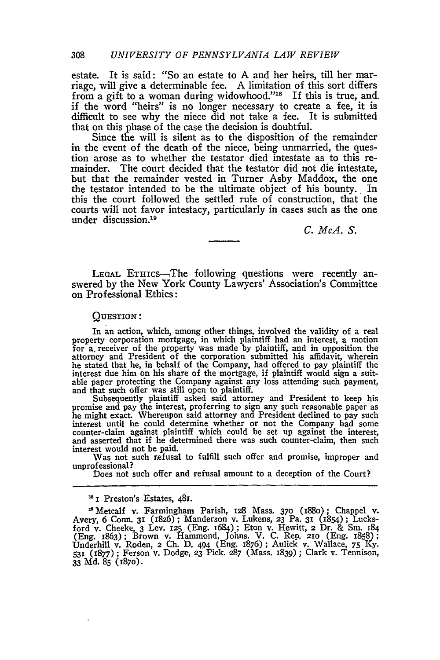estate. It is said: "So an estate to A and her heirs, till her marriage, will give a determinable fee. A limitation of this sort differs from a gift to a woman during widowhood."<sup>18</sup> If this is true, and. if the word "heirs" is no longer necessary to create a fee, it is difficult to see why the niece did not take a fee. It is submitted that on this phase of the case the decision is doubtful.

Since the will is silent as to the disposition of the remainder in the event of the death of the niece, being unmarried, the question arose as to whether the testator died intestate as to this remainder. The court decided that the testator did not die intestate, but that the remainder vested in Turner Asby Maddox, the one the testator intended to be the ultimate object of his bounty. In this the court followed the settled rule of construction, that the courts will not favor intestacy, particularly in cases such as the one under discussion.<sup>19</sup>

*C. MCA. S.*

LEGAL ETHICS-The following questions were recently answered by the New York County Lawyers' Association's Committee on Professional Ethics:

## **QUESTION:**

In an action, which, among other things, involved the validity of a real property corporation mortgage, in which plaintiff had an interest, a motion for a. receiver of the property was made by plaintiff, and in opposition the attorney and President of the corporation submitted his affidavit, wherein<br>he stated that he, in behalf of the Company, had offered to pay plaintiff the<br>interest due him on his share of the mortgage, if plaintiff would sig able paper protecting the Company against any loss attending such payment, and that such offer was still open to plaintiff.

Subsequently plaintiff asked said attorney and President to keep his promise and pay the interest, proferring to sign any such reasonable paper as he might exact. Whereupon said attorney and President declined to pay such interest until he could determine whether or not the Company had some counter-claim against plaintiff which could be set up against the interest, and asserted that if he determined there was such counter-claim, then such interest would not be paid.

Was not such refusal to fulfill such offer and promise, improper and unprofessional?

Does not such offer and refusal amount to a deception of the Court?

## <sup>18</sup> I Preston's Estates, 481.

"Metcalf v. Farmingham Parish, 128 Mass. *370* (i88o); Chappel v. Avery, 6 Conn. **31** (1826); Manderson v. Lukens, **23** Pa. **31** (1854); Lucksford v. Cheeke, 3 Lev. **125** (Eng. 1684); Eton v. Hewitt, **2** Dr. & Sm. 184 (Eng. x863); Brown v. Hammond, Johns. V. C. Rep. **21o** (Eng. 1858); Underhill v. Roden, 2 Ch. **D.** 494 (Eng. 1876); Aulick v. Wallace, **75** Ky. 531 (1877) ; Ferson v. Dodge, **23** Pick. **287** (Mass. 1839); Clark v. Tennison, **3 Md. 85 (187o).**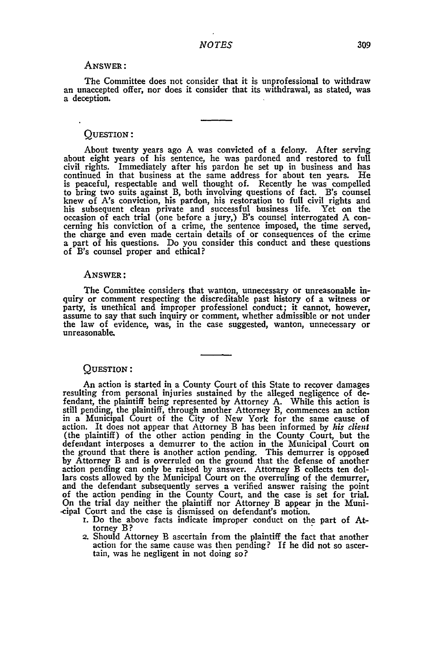#### ANSWER:

The Committee does not consider that it is unprofessional to withdraw an unaccepted offer, nor does it consider that its withdrawal, as stated, was a deception.

### **QUESTION:**

About twenty years ago A was convicted of a felony. After serving about eight years of his sentence, he was pardoned and restored to full civil rights. Immediately after his pardon he set up in business and has continued in that business at the same address for about ten years. He is peaceful, respectable and well thought of. Recently he was compelled to bring two suits against B, both involving questions of fact. B's counsel knew of A's conviction, his pardon, his restoration to full civil rights and his subsequent clean private and successful business life. Yet on the occasion of each trial (one before a jury,) B's counsel interrogated A conoccasion of each trial (one before a jury,) B's counsel interrogated A con- cerning his conviction of a crime, the sentence imposed, the time served, the charge and even made certain details of or consequences of the crime a part of his questions. Do you consider this conduct and these questions a part of his questions. Do you consider this conduct and these questions of B's counsel proper and ethical?

#### ANSWER:

The Committee considers that wanton, unnecessary or unreasonable inquiry or comment respecting the discreditable past history of a witness or party, is unethical and improper professionel conduct; it cannot, however, assume to say that such inquiry or comment, whether admissible or not un the law of evidence, was, in the case suggested, wanton, unnecessary or unreasonable.

#### **QUESTION:**

An action is started in a County Court of this State to recover damages resulting from personal injuries sustained by the alleged negligence of defendant, the plaintiff being represented **by** Attorney A. While this action is still pending, the plaintiff, through another Attorney B, commences an action in a Municipal Court of the City of New York for the same cause of action. It does not appear that Attorney B has been informed **by** *his client* (the plaintiff) of the other action pending in the County Court, but the defendant interposes a demurrer to the action in the Municipal Court on the ground that there is another action pending. This demurrer is opposed **by** Attorney B and is overruled on the ground that the defense of another action pending can only be raised **by** answer. Attorney B collects ten dollars costs allowed **by** the Municipal Court on the overruling of the demurrer, and the defendant subsequently serves a verified answer raising the point of the action pending in the County Court, and the case is set for trial. On the trial day neither the plaintiff nor Attorney B appear in the Muni- -cipal Court and the case is dismissed on defendant's motion.

- **i.** Do the above facts indicate improper conduct on the part of Attorney B?
- **2.** Should Attorney B ascertain from the plaintiff the fact that another action for the same cause was then pending? If he did not so ascer- tain, was he negligent in not doing so?